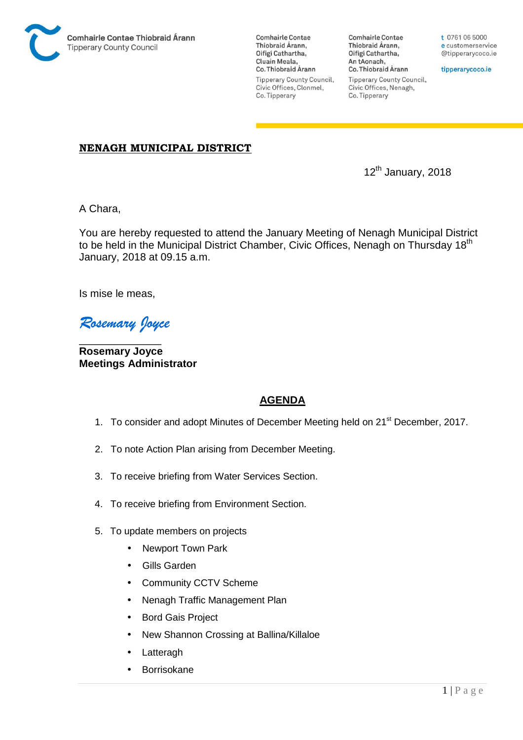

**Comhairle Contae** Thiobraid Árann, Oifigí Cathartha, Cluain Meala, Co. Thiobraid Árann **Tipperary County Council,** Civic Offices, Clonmel, Co. Tipperary

**Comhairle Contae** Thiobraid Árann, Oifigí Cathartha, An tAonach, Co. Thiobraid Árann **Tipperary County Council,** Civic Offices, Nenagh, Co. Tipperary

t 0761 06 5000 e customerservice @tipperarycoco.ie

tipperarycoco.ie

## **NENAGH MUNICIPAL DISTRICT**

12th January, 2018

A Chara,

You are hereby requested to attend the January Meeting of Nenagh Municipal District to be held in the Municipal District Chamber, Civic Offices, Nenagh on Thursday 18<sup>th</sup> January, 2018 at 09.15 a.m.

Is mise le meas,

*Rosemary Joyce* 

\_\_\_\_\_\_\_\_\_\_\_\_\_\_ **Rosemary Joyce Meetings Administrator** 

## **AGENDA**

- 1. To consider and adopt Minutes of December Meeting held on 21<sup>st</sup> December, 2017.
- 2. To note Action Plan arising from December Meeting.
- 3. To receive briefing from Water Services Section.
- 4. To receive briefing from Environment Section.
- 5. To update members on projects
	- Newport Town Park
	- Gills Garden
	- Community CCTV Scheme
	- Nenagh Traffic Management Plan
	- Bord Gais Project
	- New Shannon Crossing at Ballina/Killaloe
	- **Latteragh**
	- Borrisokane